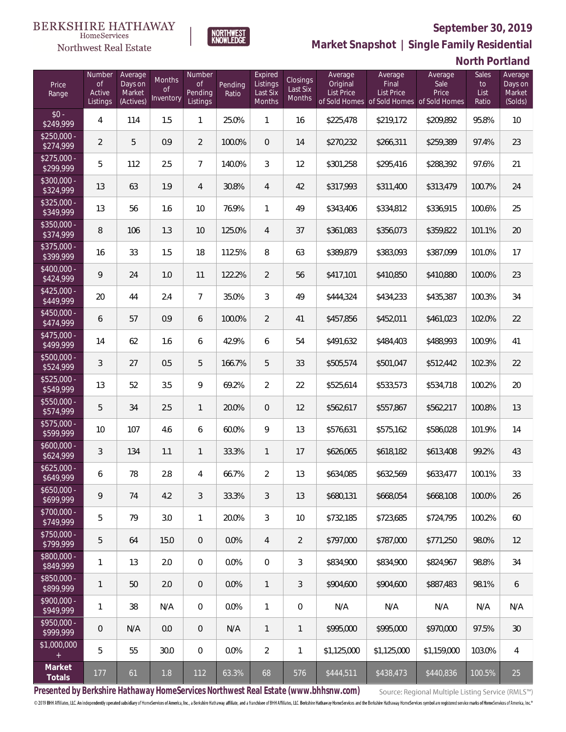

**NORTHWEST**<br>KNOWLEDGE

Northwest Real Estate

**Market Snapshot | Single Family Residential**

# **North Portland**

| Price<br>Range            | Number<br><b>of</b><br>Active<br>Listings | Average<br>Days on<br>Market<br>(Actives) | Months<br><b>of</b><br>Inventory | Number<br><b>of</b><br>Pending<br>Listings | Pending<br>Ratio | Expired<br>Listings<br>Last Six<br>Months | <b>Closings</b><br>Last Six<br>Months | Average<br>Original<br><b>List Price</b> | Average<br>Final<br><b>List Price</b><br>of Sold Homes of Sold Homes of Sold Homes | Average<br>Sale<br>Price | Sales<br>to<br>List<br>Ratio | Average<br>Days on<br>Market<br>(Solds) |
|---------------------------|-------------------------------------------|-------------------------------------------|----------------------------------|--------------------------------------------|------------------|-------------------------------------------|---------------------------------------|------------------------------------------|------------------------------------------------------------------------------------|--------------------------|------------------------------|-----------------------------------------|
| $$0 -$<br>\$249,999       | 4                                         | 114                                       | 1.5                              | $\mathbf{1}$                               | 25.0%            | $\mathbf{1}$                              | 16                                    | \$225,478                                | \$219,172                                                                          | \$209,892                | 95.8%                        | 10                                      |
| $$250,000 -$<br>\$274,999 | $\overline{2}$                            | 5                                         | 0.9                              | $\overline{2}$                             | 100.0%           | $\overline{0}$                            | 14                                    | \$270,232                                | \$266,311                                                                          | \$259,389                | 97.4%                        | 23                                      |
| $$275,000 -$<br>\$299,999 | 5                                         | 112                                       | 2.5                              | $\overline{7}$                             | 140.0%           | $\overline{3}$                            | 12                                    | \$301,258                                | \$295,416                                                                          | \$288,392                | 97.6%                        | 21                                      |
| $$300,000 -$<br>\$324,999 | 13                                        | 63                                        | 1.9                              | $\overline{4}$                             | 30.8%            | $\overline{4}$                            | 42                                    | \$317,993                                | \$311,400                                                                          | \$313,479                | 100.7%                       | 24                                      |
| $$325,000 -$<br>\$349,999 | 13                                        | 56                                        | 1.6                              | 10                                         | 76.9%            | $\mathbf{1}$                              | 49                                    | \$343,406                                | \$334,812                                                                          | \$336,915                | 100.6%                       | 25                                      |
| $$350,000 -$<br>\$374,999 | 8                                         | 106                                       | 1.3                              | 10                                         | 125.0%           | $\overline{4}$                            | 37                                    | \$361,083                                | \$356,073                                                                          | \$359,822                | 101.1%                       | 20                                      |
| $$375,000 -$<br>\$399,999 | 16                                        | 33                                        | 1.5                              | 18                                         | 112.5%           | 8                                         | 63                                    | \$389,879                                | \$383,093                                                                          | \$387,099                | 101.0%                       | 17                                      |
| $$400,000 -$<br>\$424,999 | 9                                         | 24                                        | 1.0                              | 11                                         | 122.2%           | $\overline{2}$                            | 56                                    | \$417,101                                | \$410,850                                                                          | \$410,880                | 100.0%                       | 23                                      |
| $$425,000 -$<br>\$449,999 | 20                                        | 44                                        | 2.4                              | $\overline{7}$                             | 35.0%            | $\mathcal{S}$                             | 49                                    | \$444,324                                | \$434,233                                                                          | \$435,387                | 100.3%                       | 34                                      |
| $$450,000 -$<br>\$474,999 | 6                                         | 57                                        | 0.9                              | 6                                          | 100.0%           | $\overline{2}$                            | 41                                    | \$457,856                                | \$452,011                                                                          | \$461,023                | 102.0%                       | 22                                      |
| $$475,000 -$<br>\$499,999 | 14                                        | 62                                        | 1.6                              | 6                                          | 42.9%            | 6                                         | 54                                    | \$491,632                                | \$484,403                                                                          | \$488,993                | 100.9%                       | 41                                      |
| $$500,000 -$<br>\$524,999 | 3                                         | 27                                        | 0.5                              | 5                                          | 166.7%           | 5                                         | 33                                    | \$505,574                                | \$501,047                                                                          | \$512,442                | 102.3%                       | 22                                      |
| $$525,000 -$<br>\$549,999 | 13                                        | 52                                        | 3.5                              | 9                                          | 69.2%            | $\overline{2}$                            | 22                                    | \$525,614                                | \$533,573                                                                          | \$534,718                | 100.2%                       | 20                                      |
| $$550,000 -$<br>\$574,999 | 5                                         | 34                                        | 2.5                              | $\mathbf{1}$                               | 20.0%            | $\overline{0}$                            | 12                                    | \$562,617                                | \$557,867                                                                          | \$562,217                | 100.8%                       | 13                                      |
| $$575,000 -$<br>\$599,999 | 10                                        | 107                                       | 4.6                              | 6                                          | 60.0%            | 9                                         | 13                                    | \$576,631                                | \$575,162                                                                          | \$586,028                | 101.9%                       | 14                                      |
| $$600,000 -$<br>\$624,999 | 3                                         | 134                                       | 1.1                              | $\mathbf{1}$                               | 33.3%            | $\mathbf{1}$                              | 17                                    | \$626,065                                | \$618,182                                                                          | \$613,408                | 99.2%                        | 43                                      |
| $$625,000 -$<br>\$649,999 | 6                                         | 78                                        | 2.8                              | $\overline{4}$                             | 66.7%            | $\overline{2}$                            | 13                                    | \$634,085                                | \$632,569                                                                          | \$633,477                | 100.1%                       | 33                                      |
| $$650,000 -$<br>\$699,999 | 9                                         | 74                                        | 4.2                              | 3                                          | 33.3%            | 3                                         | 13                                    | \$680,131                                | \$668,054                                                                          | \$668,108                | 100.0%                       | 26                                      |
| $$700,000 -$<br>\$749,999 | 5                                         | 79                                        | 3.0                              | $\mathbf{1}$                               | 20.0%            | 3                                         | 10                                    | \$732,185                                | \$723,685                                                                          | \$724,795                | 100.2%                       | 60                                      |
| $$750,000 -$<br>\$799,999 | 5                                         | 64                                        | 15.0                             | $\overline{0}$                             | 0.0%             | $\overline{4}$                            | $\overline{2}$                        | \$797,000                                | \$787,000                                                                          | \$771,250                | 98.0%                        | 12                                      |
| $$800,000 -$<br>\$849,999 | 1                                         | 13                                        | 2.0                              | $\mathbf 0$                                | 0.0%             | $\overline{0}$                            | 3                                     | \$834,900                                | \$834,900                                                                          | \$824,967                | 98.8%                        | 34                                      |
| $$850,000 -$<br>\$899,999 | 1                                         | 50                                        | 2.0                              | $\overline{0}$                             | 0.0%             | $\mathbf{1}$                              | $\mathfrak{Z}$                        | \$904,600                                | \$904,600                                                                          | \$887,483                | 98.1%                        | 6                                       |
| $$900,000 -$<br>\$949,999 | 1                                         | 38                                        | N/A                              | $\overline{0}$                             | 0.0%             | $\mathbf{1}$                              | 0                                     | N/A                                      | N/A                                                                                | N/A                      | N/A                          | N/A                                     |
| \$950,000 -<br>\$999,999  | $\theta$                                  | N/A                                       | 0.0                              | $\overline{0}$                             | N/A              | $\overline{1}$                            | $\mathbf{1}$                          | \$995,000                                | \$995,000                                                                          | \$970,000                | 97.5%                        | 30                                      |
| \$1,000,000<br>$+$        | 5                                         | 55                                        | 30.0                             | $\overline{0}$                             | 0.0%             | $\overline{2}$                            | $\mathbf{1}$                          | \$1,125,000                              | \$1,125,000                                                                        | \$1,159,000              | 103.0%                       | 4                                       |
| Market<br>Totals          | 177                                       | 61                                        | 1.8                              | 112                                        | 63.3%            | 68                                        | 576                                   | \$444,511                                | \$438,473                                                                          | \$440,836                | 100.5%                       | 25                                      |

**Presented by Berkshire Hathaway HomeServices Northwest Real Estate (www.bhhsnw.com)**

Source: Regional Multiple Listing Service (RMLS™)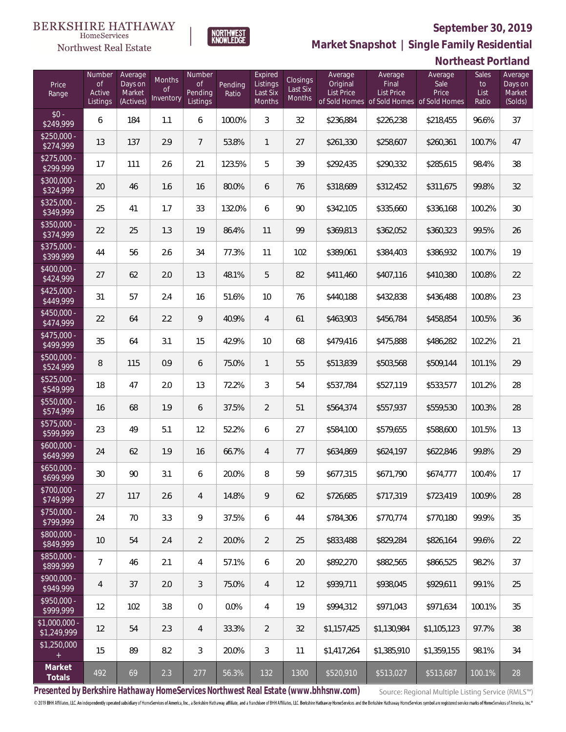

**NORTHWEST**<br>KNOWLEDGE

Northwest Real Estate

**Market Snapshot | Single Family Residential**

# **Northeast Portland**

| Price<br>Range                   | Number<br>of<br>Active<br>Listings | Average<br>Days on<br>Market<br>(Actives) | Months<br>Οf<br>Inventory | Number<br>Οf<br>Pending<br>Listings | Pending<br>Ratio | Expired<br>Listings<br>Last Six<br>Months | Closings<br>Last Six<br>Months | Average<br>Original<br><b>List Price</b> | Average<br>Final<br><b>List Price</b><br>of Sold Homes of Sold Homes of Sold Homes | Average<br>Sale<br>Price | Sales<br>to<br>List<br>Ratio | Average<br>Days on<br>Market<br>(Solds) |
|----------------------------------|------------------------------------|-------------------------------------------|---------------------------|-------------------------------------|------------------|-------------------------------------------|--------------------------------|------------------------------------------|------------------------------------------------------------------------------------|--------------------------|------------------------------|-----------------------------------------|
| $$0 -$<br>$\sqrt{249.999}$       | 6                                  | 184                                       | 1.1                       | 6                                   | 100.0%           | 3                                         | 32                             | \$236,884                                | \$226,238                                                                          | \$218,455                | 96.6%                        | 37                                      |
| $$250.000 -$<br>\$274,999        | 13                                 | 137                                       | 2.9                       | $7\overline{ }$                     | 53.8%            | $\mathbf{1}$                              | 27                             | \$261,330                                | \$258,607                                                                          | \$260,361                | 100.7%                       | 47                                      |
| $$275,000 -$<br>\$299,999        | 17                                 | 111                                       | 2.6                       | 21                                  | 123.5%           | 5                                         | 39                             | \$292,435                                | \$290,332                                                                          | \$285,615                | 98.4%                        | 38                                      |
| \$300,000 -<br>$\sqrt{$324,999}$ | 20                                 | 46                                        | 1.6                       | 16                                  | 80.0%            | 6                                         | 76                             | \$318,689                                | \$312,452                                                                          | \$311,675                | 99.8%                        | 32                                      |
| $$325,000 -$<br>\$349,999        | 25                                 | 41                                        | 1.7                       | 33                                  | 132.0%           | 6                                         | 90                             | \$342,105                                | \$335,660                                                                          | \$336,168                | 100.2%                       | 30                                      |
| \$350,000 -<br>\$374,999         | 22                                 | 25                                        | 1.3                       | 19                                  | 86.4%            | 11                                        | 99                             | \$369,813                                | \$362,052                                                                          | \$360,323                | 99.5%                        | 26                                      |
| $$375,000 -$<br>\$399,999        | 44                                 | 56                                        | 2.6                       | 34                                  | 77.3%            | 11                                        | 102                            | \$389,061                                | \$384,403                                                                          | \$386,932                | 100.7%                       | 19                                      |
| \$400,000 -<br>\$424,999         | 27                                 | 62                                        | 2.0                       | 13                                  | 48.1%            | 5                                         | 82                             | \$411,460                                | \$407,116                                                                          | \$410,380                | 100.8%                       | 22                                      |
| $$425,000 -$<br>\$449,999        | 31                                 | 57                                        | 2.4                       | 16                                  | 51.6%            | 10                                        | 76                             | \$440,188                                | \$432,838                                                                          | \$436,488                | 100.8%                       | 23                                      |
| \$450,000 -<br>\$474,999         | 22                                 | 64                                        | 2.2                       | 9                                   | 40.9%            | $\overline{4}$                            | 61                             | \$463,903                                | \$456,784                                                                          | \$458,854                | 100.5%                       | 36                                      |
| \$475,000 -<br>\$499,999         | 35                                 | 64                                        | 3.1                       | 15                                  | 42.9%            | 10                                        | 68                             | \$479,416                                | \$475,888                                                                          | \$486,282                | 102.2%                       | 21                                      |
| $$500,000 -$<br>\$524,999        | 8                                  | 115                                       | 0.9                       | 6                                   | 75.0%            | $\mathbf{1}$                              | 55                             | \$513,839                                | \$503,568                                                                          | \$509,144                | 101.1%                       | 29                                      |
| \$525,000 -<br>\$549,999         | 18                                 | 47                                        | 2.0                       | 13                                  | 72.2%            | 3                                         | 54                             | \$537,784                                | \$527,119                                                                          | \$533,577                | 101.2%                       | 28                                      |
| $$550,000 -$<br>\$574,999        | 16                                 | 68                                        | 1.9                       | 6                                   | 37.5%            | $\overline{2}$                            | 51                             | \$564,374                                | \$557,937                                                                          | \$559,530                | 100.3%                       | 28                                      |
| \$575,000 -<br>\$599,999         | 23                                 | 49                                        | 5.1                       | 12                                  | 52.2%            | 6                                         | 27                             | \$584,100                                | \$579,655                                                                          | \$588,600                | 101.5%                       | 13                                      |
| $$600,000 -$<br>\$649,999        | 24                                 | 62                                        | 1.9                       | 16                                  | 66.7%            | $\overline{4}$                            | 77                             | \$634,869                                | \$624,197                                                                          | \$622,846                | 99.8%                        | 29                                      |
| $$650,000 -$<br>\$699,999        | 30                                 | 90                                        | 3.1                       | 6                                   | 20.0%            | 8                                         | 59                             | \$677,315                                | \$671,790                                                                          | \$674,777                | 100.4%                       | 17                                      |
| $$700,000 -$<br>\$749,999        | 27                                 | 117                                       | 2.6                       | $\overline{4}$                      | 14.8%            | 9                                         | 62                             | \$726,685                                | \$717,319                                                                          | \$723,419                | 100.9%                       | 28                                      |
| \$750,000 -<br>\$799,999         | 24                                 | 70                                        | 3.3                       | 9                                   | 37.5%            | 6                                         | 44                             | \$784,306                                | \$770,774                                                                          | \$770,180                | 99.9%                        | 35                                      |
| \$800,000 -<br>\$849,999         | 10                                 | 54                                        | 2.4                       | 2                                   | 20.0%            | 2                                         | 25                             | \$833,488                                | \$829,284                                                                          | \$826,164                | 99.6%                        | 22                                      |
| $$850,000 -$<br>\$899,999        | 7                                  | 46                                        | 2.1                       | 4                                   | 57.1%            | 6                                         | 20                             | \$892,270                                | \$882,565                                                                          | \$866,525                | 98.2%                        | 37                                      |
| $$900,000 -$<br>\$949,999        | 4                                  | 37                                        | 2.0                       | 3                                   | 75.0%            | $\overline{4}$                            | 12                             | \$939,711                                | \$938.045                                                                          | \$929,611                | 99.1%                        | 25                                      |
| $$950,000 -$<br>\$999,999        | 12                                 | 102                                       | 3.8                       | $\overline{0}$                      | 0.0%             | $\overline{4}$                            | 19                             | \$994,312                                | \$971,043                                                                          | \$971,634                | 100.1%                       | 35                                      |
| $$1,000,000 -$<br>\$1,249,999    | 12                                 | 54                                        | 2.3                       | 4                                   | 33.3%            | $\overline{2}$                            | 32                             | \$1,157,425                              | \$1,130,984                                                                        | \$1,105,123              | 97.7%                        | 38                                      |
| \$1,250,000                      | 15                                 | 89                                        | 8.2                       | 3                                   | 20.0%            | 3                                         | 11                             | \$1,417,264                              | \$1,385,910                                                                        | \$1,359,155              | 98.1%                        | 34                                      |
| Market<br>Totals                 | 492                                | 69                                        | 2.3                       | 277                                 | 56.3%            | 132                                       | 1300                           | \$520,910                                | \$513,027                                                                          | \$513,687                | 100.1%                       | 28                                      |

**Presented by Berkshire Hathaway HomeServices Northwest Real Estate (www.bhhsnw.com)**

Source: Regional Multiple Listing Service (RMLS™)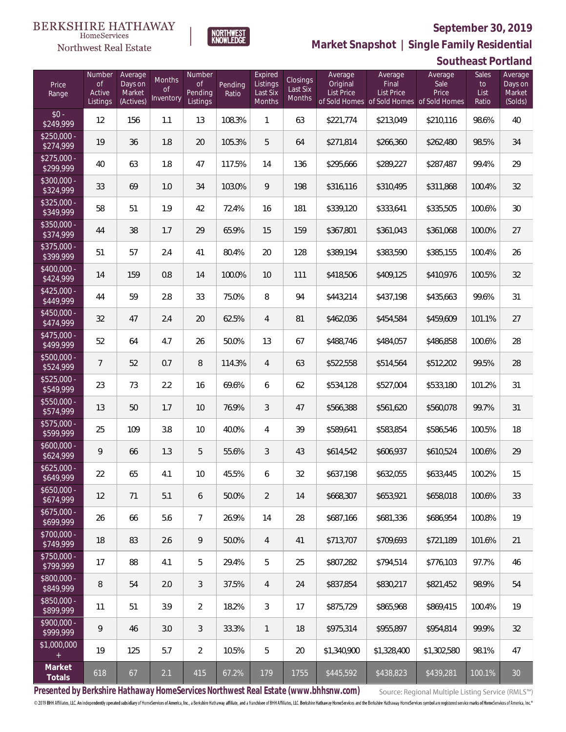

**NORTHWEST**<br>KNOWLEDGE

Northwest Real Estate

**Market Snapshot | Single Family Residential**

#### **Southeast Portland**

| Price<br>Range            | Number<br><b>of</b><br>Active<br>Listings | Average<br>Days on<br>Market<br>(Actives) | <b>Months</b><br>0f<br>Inventory | Number<br><b>of</b><br>Pending<br>Listings | Pending<br>Ratio | Expired<br>Listings<br>Last Six<br>Months | Closings<br>Last Six<br>Months | Average<br>Original<br><b>List Price</b> | Average<br>Final<br><b>List Price</b><br>of Sold Homes of Sold Homes of Sold Homes | Average<br>Sale<br>Price | Sales<br>to<br>List<br>Ratio | Average<br>Days on<br>Market<br>(Solds) |
|---------------------------|-------------------------------------------|-------------------------------------------|----------------------------------|--------------------------------------------|------------------|-------------------------------------------|--------------------------------|------------------------------------------|------------------------------------------------------------------------------------|--------------------------|------------------------------|-----------------------------------------|
| $$0 -$<br>\$249,999       | 12                                        | 156                                       | 1.1                              | 13                                         | 108.3%           | 1                                         | 63                             | \$221,774                                | \$213,049                                                                          | \$210,116                | 98.6%                        | 40                                      |
| $$250,000 -$<br>\$274,999 | 19                                        | 36                                        | 1.8                              | 20                                         | 105.3%           | 5                                         | 64                             | \$271,814                                | \$266,360                                                                          | \$262,480                | 98.5%                        | 34                                      |
| $$275,000 -$<br>\$299,999 | 40                                        | 63                                        | 1.8                              | 47                                         | 117.5%           | 14                                        | 136                            | \$295,666                                | \$289,227                                                                          | \$287,487                | 99.4%                        | 29                                      |
| $$300,000 -$<br>\$324,999 | 33                                        | 69                                        | 1.0                              | 34                                         | 103.0%           | 9                                         | 198                            | \$316,116                                | \$310,495                                                                          | \$311,868                | 100.4%                       | 32                                      |
| $$325,000 -$<br>\$349,999 | 58                                        | 51                                        | 1.9                              | 42                                         | 72.4%            | 16                                        | 181                            | \$339,120                                | \$333,641                                                                          | \$335,505                | 100.6%                       | 30                                      |
| $$350,000 -$<br>\$374,999 | 44                                        | 38                                        | 1.7                              | 29                                         | 65.9%            | 15                                        | 159                            | \$367,801                                | \$361,043                                                                          | \$361,068                | 100.0%                       | 27                                      |
| $$375,000 -$<br>\$399,999 | 51                                        | 57                                        | 2.4                              | 41                                         | 80.4%            | 20                                        | 128                            | \$389,194                                | \$383,590                                                                          | \$385,155                | 100.4%                       | 26                                      |
| \$400,000 -<br>\$424,999  | 14                                        | 159                                       | 0.8                              | 14                                         | 100.0%           | 10                                        | 111                            | \$418,506                                | \$409,125                                                                          | \$410,976                | 100.5%                       | 32                                      |
| $$425,000 -$<br>\$449,999 | 44                                        | 59                                        | 2.8                              | 33                                         | 75.0%            | 8                                         | 94                             | \$443,214                                | \$437,198                                                                          | \$435,663                | 99.6%                        | 31                                      |
| \$450,000 -<br>\$474,999  | 32                                        | 47                                        | 2.4                              | 20                                         | 62.5%            | $\overline{4}$                            | 81                             | \$462,036                                | \$454,584                                                                          | \$459,609                | 101.1%                       | 27                                      |
| $$475,000 -$<br>\$499,999 | 52                                        | 64                                        | 4.7                              | 26                                         | 50.0%            | 13                                        | 67                             | \$488,746                                | \$484,057                                                                          | \$486,858                | 100.6%                       | 28                                      |
| $$500,000 -$<br>\$524,999 | $\overline{7}$                            | 52                                        | 0.7                              | 8                                          | 114.3%           | $\overline{4}$                            | 63                             | \$522,558                                | \$514,564                                                                          | \$512,202                | 99.5%                        | 28                                      |
| \$525,000 -<br>\$549,999  | 23                                        | 73                                        | 2.2                              | 16                                         | 69.6%            | 6                                         | 62                             | \$534,128                                | \$527,004                                                                          | \$533,180                | 101.2%                       | 31                                      |
| $$550,000 -$<br>\$574,999 | 13                                        | 50                                        | 1.7                              | 10                                         | 76.9%            | 3                                         | 47                             | \$566,388                                | \$561,620                                                                          | \$560,078                | 99.7%                        | 31                                      |
| \$575,000 -<br>\$599,999  | 25                                        | 109                                       | 3.8                              | 10                                         | 40.0%            | 4                                         | 39                             | \$589,641                                | \$583,854                                                                          | \$586,546                | 100.5%                       | 18                                      |
| $$600,000 -$<br>\$624,999 | 9                                         | 66                                        | 1.3                              | 5                                          | 55.6%            | 3                                         | 43                             | \$614,542                                | \$606,937                                                                          | \$610,524                | 100.6%                       | 29                                      |
| $$625,000 -$<br>\$649,999 | 22                                        | 65                                        | 4.1                              | 10                                         | 45.5%            | 6                                         | 32                             | \$637,198                                | \$632,055                                                                          | \$633,445                | 100.2%                       | 15                                      |
| $$650,000 -$<br>\$674,999 | 12                                        | 71                                        | 5.1                              | 6                                          | 50.0%            | $\overline{2}$                            | 14                             | \$668,307                                | \$653,921                                                                          | \$658,018                | 100.6%                       | 33                                      |
| $$675,000 -$<br>\$699,999 | 26                                        | 66                                        | 5.6                              | $\overline{7}$                             | 26.9%            | 14                                        | 28                             | \$687,166                                | \$681,336                                                                          | \$686,954                | 100.8%                       | 19                                      |
| \$700,000 -<br>\$749,999  | 18                                        | 83                                        | 2.6                              | 9                                          | 50.0%            | $\overline{4}$                            | 41                             | \$713,707                                | \$709,693                                                                          | \$721,189                | 101.6%                       | 21                                      |
| \$750,000 -<br>\$799,999  | 17                                        | 88                                        | 4.1                              | 5                                          | 29.4%            | 5                                         | 25                             | \$807,282                                | \$794,514                                                                          | \$776,103                | 97.7%                        | 46                                      |
| \$800,000 -<br>\$849,999  | 8                                         | 54                                        | 2.0                              | $\mathfrak{Z}$                             | 37.5%            | 4                                         | 24                             | \$837,854                                | \$830,217                                                                          | \$821,452                | 98.9%                        | 54                                      |
| \$850,000 -<br>\$899,999  | 11                                        | 51                                        | 3.9                              | $\overline{2}$                             | 18.2%            | 3                                         | 17                             | \$875,729                                | \$865,968                                                                          | \$869,415                | 100.4%                       | 19                                      |
| \$900,000 -<br>\$999,999  | 9                                         | 46                                        | 3.0                              | $\mathfrak{Z}$                             | 33.3%            | $\mathbf{1}$                              | 18                             | \$975,314                                | \$955,897                                                                          | \$954,814                | 99.9%                        | 32                                      |
| \$1,000,000<br>$+$        | 19                                        | 125                                       | 5.7                              | $\overline{2}$                             | 10.5%            | 5                                         | 20                             | \$1,340,900                              | \$1,328,400                                                                        | \$1,302,580              | 98.1%                        | 47                                      |
| Market<br>Totals          | 618                                       | 67                                        | 2.1                              | 415                                        | 67.2%            | 179                                       | 1755                           | \$445,592                                | \$438,823                                                                          | \$439,281                | 100.1%                       | 30                                      |

**Presented by Berkshire Hathaway HomeServices Northwest Real Estate (www.bhhsnw.com)**

Source: Regional Multiple Listing Service (RMLS™)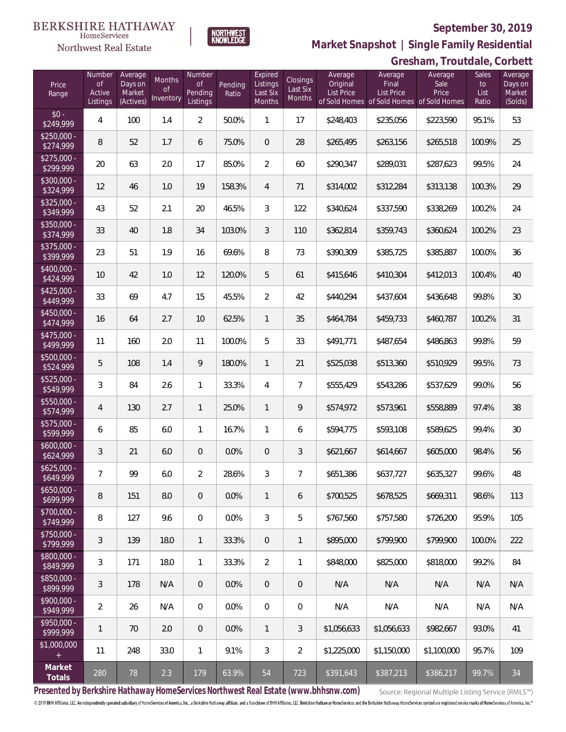

NORTHWEST<br>KNOWLEDGE

Northwest Real Estate

**Market Snapshot | Single Family Residential**

# **Gresham, Troutdale, Corbett**

| Price<br>Range            | Number<br><b>of</b><br>Active<br>Listings | Average<br>Days on<br>Market<br>(Actives) | Months<br><b>of</b><br>Inventory | Number<br>Οf<br>Pending<br>Listings | Pending<br>Ratio | Expired<br>Listings<br>Last Six<br>Months | Closings<br>Last Six<br>Months | Average<br>Original<br><b>List Price</b> | Average<br>Final<br>List Price<br>of Sold Homes of Sold Homes of Sold Homes | Average<br>Sale<br>Price | Sales<br>to<br>List<br>Ratio | Average<br>Days on<br>Market<br>(Solds) |
|---------------------------|-------------------------------------------|-------------------------------------------|----------------------------------|-------------------------------------|------------------|-------------------------------------------|--------------------------------|------------------------------------------|-----------------------------------------------------------------------------|--------------------------|------------------------------|-----------------------------------------|
| $$0 -$<br>\$249,999       | 4                                         | 100                                       | 1.4                              | $\overline{2}$                      | 50.0%            | 1                                         | 17                             | \$248,403                                | \$235,056                                                                   | \$223,590                | 95.1%                        | 53                                      |
| $$250.000 -$<br>\$274,999 | 8                                         | 52                                        | 1.7                              | 6                                   | 75.0%            | $\overline{0}$                            | 28                             | \$265,495                                | \$263,156                                                                   | \$265,518                | 100.9%                       | 25                                      |
| $$275,000 -$<br>\$299,999 | 20                                        | 63                                        | 2.0                              | 17                                  | 85.0%            | $\overline{2}$                            | 60                             | \$290,347                                | \$289,031                                                                   | \$287,623                | 99.5%                        | 24                                      |
| $$300,000 -$<br>\$324,999 | 12                                        | 46                                        | 1.0                              | 19                                  | 158.3%           | $\overline{4}$                            | 71                             | \$314,002                                | \$312,284                                                                   | \$313,138                | 100.3%                       | 29                                      |
| $$325,000 -$<br>\$349,999 | 43                                        | 52                                        | 2.1                              | 20                                  | 46.5%            | 3                                         | 122                            | \$340,624                                | \$337,590                                                                   | \$338,269                | 100.2%                       | 24                                      |
| $$350,000 -$<br>\$374,999 | 33                                        | 40                                        | 1.8                              | 34                                  | 103.0%           | $\mathfrak{Z}$                            | 110                            | \$362,814                                | \$359,743                                                                   | \$360,624                | 100.2%                       | 23                                      |
| $$375,000 -$<br>\$399,999 | 23                                        | 51                                        | 1.9                              | 16                                  | 69.6%            | 8                                         | 73                             | \$390,309                                | \$385,725                                                                   | \$385,887                | 100.0%                       | 36                                      |
| \$400,000 -<br>\$424,999  | 10                                        | 42                                        | 1.0                              | 12                                  | 120.0%           | 5                                         | 61                             | \$415,646                                | \$410,304                                                                   | \$412,013                | 100.4%                       | 40                                      |
| $$425,000 -$<br>\$449,999 | 33                                        | 69                                        | 4.7                              | 15                                  | 45.5%            | $\overline{2}$                            | 42                             | \$440,294                                | \$437,604                                                                   | \$436,648                | 99.8%                        | 30                                      |
| $$450,000 -$<br>\$474,999 | 16                                        | 64                                        | 2.7                              | 10                                  | 62.5%            | $\mathbf{1}$                              | 35                             | \$464,784                                | \$459,733                                                                   | \$460,787                | 100.2%                       | 31                                      |
| $$475,000 -$<br>\$499,999 | 11                                        | 160                                       | 2.0                              | 11                                  | 100.0%           | 5                                         | 33                             | \$491,771                                | \$487,654                                                                   | \$486,863                | 99.8%                        | 59                                      |
| \$500,000 -<br>\$524,999  | 5                                         | 108                                       | 1.4                              | 9                                   | 180.0%           | $\mathbf{1}$                              | 21                             | \$525,038                                | \$513,360                                                                   | \$510,929                | 99.5%                        | 73                                      |
| \$525,000 -<br>\$549,999  | 3                                         | 84                                        | 2.6                              | $\mathbf{1}$                        | 33.3%            | $\overline{4}$                            | $\overline{7}$                 | \$555,429                                | \$543,286                                                                   | \$537,629                | 99.0%                        | 56                                      |
| $$550,000 -$<br>\$574,999 | $\overline{4}$                            | 130                                       | 2.7                              | $\mathbf{1}$                        | 25.0%            | $\mathbf{1}$                              | 9                              | \$574,972                                | \$573,961                                                                   | \$558,889                | 97.4%                        | 38                                      |
| \$575,000 -<br>\$599,999  | 6                                         | 85                                        | 6.0                              | $\mathbf{1}$                        | 16.7%            | $\mathbf{1}$                              | 6                              | \$594,775                                | \$593,108                                                                   | \$589,625                | 99.4%                        | 30                                      |
| $$600,000 -$<br>\$624,999 | 3                                         | 21                                        | 6.0                              | $\overline{0}$                      | 0.0%             | $\overline{0}$                            | 3                              | \$621,667                                | \$614,667                                                                   | \$605,000                | 98.4%                        | 56                                      |
| $$625,000 -$<br>\$649,999 | 7                                         | 99                                        | 6.0                              | $\overline{2}$                      | 28.6%            | 3                                         | $\overline{7}$                 | \$651,386                                | \$637,727                                                                   | \$635,327                | 99.6%                        | 48                                      |
| $$650,000 -$<br>\$699,999 | 8                                         | 151                                       | 8.0                              | $\overline{0}$                      | 0.0%             | $\mathbf{1}$                              | 6                              | \$700.525                                | \$678,525                                                                   | \$669,311                | 98.6%                        | 113                                     |
| $$700,000 -$<br>\$749,999 | 8                                         | 127                                       | 9.6                              | $\overline{0}$                      | 0.0%             | 3                                         | 5                              | \$767,560                                | \$757,580                                                                   | \$726,200                | 95.9%                        | 105                                     |
| $$750,000 -$<br>\$799,999 | 3                                         | 139                                       | 18.0                             | $\mathbf{1}$                        | 33.3%            | $\overline{0}$                            | 1                              | \$895,000                                | \$799,900                                                                   | \$799,900                | 100.0%                       | 222                                     |
| \$800,000 -<br>\$849,999  | 3                                         | 171                                       | 18.0                             | $\mathbf{1}$                        | 33.3%            | $\overline{2}$                            | 1                              | \$848,000                                | \$825,000                                                                   | \$818,000                | 99.2%                        | 84                                      |
| \$850,000 -<br>\$899,999  | 3                                         | 178                                       | N/A                              | $\overline{0}$                      | 0.0%             | $\overline{0}$                            | $\overline{0}$                 | N/A                                      | N/A                                                                         | N/A                      | N/A                          | N/A                                     |
| $$900,000 -$<br>\$949,999 | $\overline{2}$                            | 26                                        | N/A                              | $\overline{0}$                      | 0.0%             | $\overline{0}$                            | 0                              | N/A                                      | N/A                                                                         | N/A                      | N/A                          | N/A                                     |
| $$950,000 -$<br>\$999,999 | 1                                         | 70                                        | 2.0                              | $\overline{0}$                      | $0.0\%$          | $\mathbf{1}$                              | 3                              | \$1,056,633                              | \$1,056,633                                                                 | \$982,667                | 93.0%                        | 41                                      |
| \$1,000,000               | 11                                        | 248                                       | 33.0                             | $\mathbf{1}$                        | 9.1%             | 3                                         | $\overline{2}$                 | \$1,225,000                              | \$1,150,000                                                                 | \$1,100,000              | 95.7%                        | 109                                     |
| Market<br>Totals          | 280                                       | 78                                        | 2.3                              | 179                                 | 63.9%            | 54                                        | 723                            | \$391,643                                | \$387,213                                                                   | \$386,217                | 99.7%                        | 34                                      |

**Presented by Berkshire Hathaway HomeServices Northwest Real Estate (www.bhhsnw.com)**

Source: Regional Multiple Listing Service (RMLS™)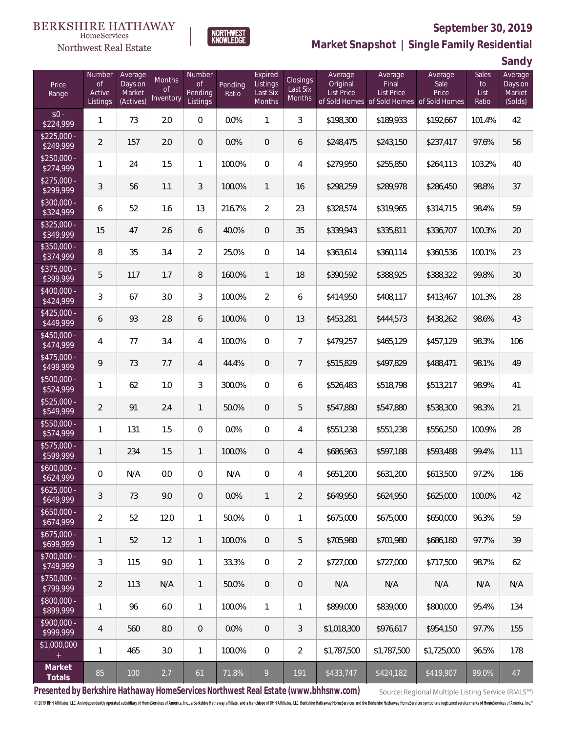#### **BERKSHIRE HATHAWAY** HomeServices

# Northwest Real Estate



# **September 30, 2019**

**Market Snapshot | Single Family Residential**

**Sandy**

| Price<br>Range            | Number<br><b>of</b><br>Active<br>Listings | Average<br>Days on<br>Market<br>(Actives) | <b>Months</b><br><b>of</b><br>Inventory | Number<br><b>of</b><br>Pending<br>Listings | Pending<br>Ratio | Expired<br>Listings<br>Last Six<br>Months | <b>Closings</b><br>Last Six<br><b>Months</b> | Average<br>Original<br><b>List Price</b> | Average<br>Final<br>List Price<br>of Sold Homes of Sold Homes | Average<br>Sale<br>Price<br>of Sold Homes | Sales<br>to<br>List<br>Ratio | uu iy<br>Average<br>Days on<br>Market<br>(Solds) |
|---------------------------|-------------------------------------------|-------------------------------------------|-----------------------------------------|--------------------------------------------|------------------|-------------------------------------------|----------------------------------------------|------------------------------------------|---------------------------------------------------------------|-------------------------------------------|------------------------------|--------------------------------------------------|
| $$0 -$<br>\$224,999       | $\mathbf{1}$                              | 73                                        | 2.0                                     | $\mathbf 0$                                | 0.0%             | $\mathbf{1}$                              | $\mathfrak{Z}$                               | \$198,300                                | \$189,933                                                     | \$192,667                                 | 101.4%                       | 42                                               |
| $$225,000 -$<br>\$249,999 | $\overline{2}$                            | 157                                       | 2.0                                     | $\overline{0}$                             | 0.0%             | 0                                         | 6                                            | \$248,475                                | \$243,150                                                     | \$237,417                                 | 97.6%                        | 56                                               |
| $$250,000 -$<br>\$274,999 | 1                                         | 24                                        | 1.5                                     | $\mathbf{1}$                               | 100.0%           | 0                                         | 4                                            | \$279,950                                | \$255,850                                                     | \$264,113                                 | 103.2%                       | 40                                               |
| $$275,000 -$<br>\$299,999 | $\sqrt{3}$                                | 56                                        | 1.1                                     | 3                                          | 100.0%           | $\mathbf{1}$                              | 16                                           | \$298,259                                | \$289,978                                                     | \$286,450                                 | 98.8%                        | 37                                               |
| $$300,000 -$<br>\$324,999 | 6                                         | 52                                        | 1.6                                     | 13                                         | 216.7%           | $\overline{2}$                            | 23                                           | \$328,574                                | \$319,965                                                     | \$314,715                                 | 98.4%                        | 59                                               |
| $$325,000 -$<br>\$349,999 | 15                                        | 47                                        | 2.6                                     | 6                                          | 40.0%            | $\mathbf 0$                               | 35                                           | \$339,943                                | \$335,811                                                     | \$336,707                                 | 100.3%                       | 20                                               |
| $$350,000 -$<br>\$374,999 | 8                                         | 35                                        | 3.4                                     | $\overline{2}$                             | 25.0%            | $\overline{0}$                            | 14                                           | \$363,614                                | \$360,114                                                     | \$360,536                                 | 100.1%                       | 23                                               |
| \$375,000 -<br>\$399,999  | 5                                         | 117                                       | 1.7                                     | $\, 8$                                     | 160.0%           | $\mathbf{1}$                              | 18                                           | \$390,592                                | \$388,925                                                     | \$388,322                                 | 99.8%                        | 30                                               |
| $$400,000 -$<br>\$424,999 | 3                                         | 67                                        | 3.0                                     | 3                                          | 100.0%           | $\overline{2}$                            | 6                                            | \$414,950                                | \$408,117                                                     | \$413,467                                 | 101.3%                       | 28                                               |
| $$425,000 -$<br>\$449,999 | 6                                         | 93                                        | 2.8                                     | 6                                          | 100.0%           | $\mathbf 0$                               | 13                                           | \$453,281                                | \$444,573                                                     | \$438,262                                 | 98.6%                        | 43                                               |
| $$450,000 -$<br>\$474,999 | 4                                         | 77                                        | 3.4                                     | $\overline{4}$                             | 100.0%           | $\overline{0}$                            | $\overline{7}$                               | \$479,257                                | \$465,129                                                     | \$457,129                                 | 98.3%                        | 106                                              |
| $$475,000 -$<br>\$499,999 | 9                                         | 73                                        | 7.7                                     | $\overline{4}$                             | 44.4%            | $\overline{0}$                            | $\overline{7}$                               | \$515,829                                | \$497,829                                                     | \$488,471                                 | 98.1%                        | 49                                               |
| $$500,000 -$<br>\$524,999 | 1                                         | 62                                        | 1.0                                     | 3                                          | 300.0%           | $\overline{0}$                            | 6                                            | \$526,483                                | \$518,798                                                     | \$513,217                                 | 98.9%                        | 41                                               |
| $$525,000 -$<br>\$549,999 | $\overline{2}$                            | 91                                        | 2.4                                     | $\mathbf{1}$                               | 50.0%            | $\overline{0}$                            | 5                                            | \$547,880                                | \$547,880                                                     | \$538,300                                 | 98.3%                        | 21                                               |
| $$550,000 -$<br>\$574,999 | 1                                         | 131                                       | 1.5                                     | $\overline{0}$                             | 0.0%             | $\overline{0}$                            | 4                                            | \$551,238                                | \$551,238                                                     | \$556,250                                 | 100.9%                       | 28                                               |
| $$575,000 -$<br>\$599,999 | $\mathbf{1}$                              | 234                                       | 1.5                                     | $\mathbf{1}$                               | 100.0%           | $\mathbf 0$                               | $\overline{4}$                               | \$686,963                                | \$597,188                                                     | \$593,488                                 | 99.4%                        | 111                                              |
| $$600,000 -$<br>\$624,999 | 0                                         | N/A                                       | 0.0                                     | 0                                          | N/A              | 0                                         | 4                                            | \$651,200                                | \$631,200                                                     | \$613,500                                 | 97.2%                        | 186                                              |
| $$625,000 -$<br>\$649,999 | 3                                         | 73                                        | 9.0                                     | $\mathbf 0$                                | 0.0%             | $\mathbf{1}$                              | $\overline{2}$                               | \$649,950                                | \$624,950                                                     | \$625,000                                 | 100.0%                       | 42                                               |
| $$650,000 -$<br>\$674,999 | $\overline{2}$                            | 52                                        | 12.0                                    | $\mathbf{1}$                               | 50.0%            | $\overline{0}$                            | $\mathbf{1}$                                 | \$675,000                                | \$675,000                                                     | \$650,000                                 | 96.3%                        | 59                                               |
| \$675,000 -<br>\$699,999  | 1                                         | 52                                        | 1.2                                     | $\mathbf{1}$                               | 100.0%           | $\overline{0}$                            | 5                                            | \$705,980                                | \$701,980                                                     | \$686,180                                 | 97.7%                        | 39                                               |
| \$700,000 -<br>\$749,999  | 3                                         | 115                                       | 9.0                                     | $\mathbf{1}$                               | 33.3%            | $\overline{0}$                            | $\overline{2}$                               | \$727,000                                | \$727,000                                                     | \$717,500                                 | 98.7%                        | 62                                               |
| $$750,000 -$<br>\$799,999 | $\overline{2}$                            | 113                                       | N/A                                     | $\mathbf{1}$                               | 50.0%            | $\mathbf 0$                               | $\mathsf{O}\xspace$                          | N/A                                      | N/A                                                           | N/A                                       | N/A                          | N/A                                              |
| \$800,000 -<br>\$899,999  | 1                                         | 96                                        | 6.0                                     | $\mathbf{1}$                               | 100.0%           | $\mathbf{1}$                              | $\mathbf{1}$                                 | \$899,000                                | \$839,000                                                     | \$800,000                                 | 95.4%                        | 134                                              |
| \$900,000 -<br>\$999,999  | $\overline{4}$                            | 560                                       | 8.0                                     | $\mathbf 0$                                | 0.0%             | $\overline{0}$                            | $\mathfrak{Z}$                               | \$1,018,300                              | \$976,617                                                     | \$954,150                                 | 97.7%                        | 155                                              |
| \$1,000,000<br>$\pm$      | 1                                         | 465                                       | 3.0                                     | $\mathbf{1}$                               | 100.0%           | $\mathbf{0}$                              | $\overline{2}$                               | \$1,787,500                              | \$1,787,500                                                   | \$1,725,000                               | 96.5%                        | 178                                              |
| Market<br>Totals          | 85                                        | 100                                       | 2.7                                     | 61                                         | 71.8%            | 9                                         | 191                                          | \$433,747                                | \$424,182                                                     | \$419,907                                 | 99.0%                        | 47                                               |

**Presented by Berkshire Hathaway HomeServices Northwest Real Estate (www.bhhsnw.com)**

Source: Regional Multiple Listing Service (RMLS™)